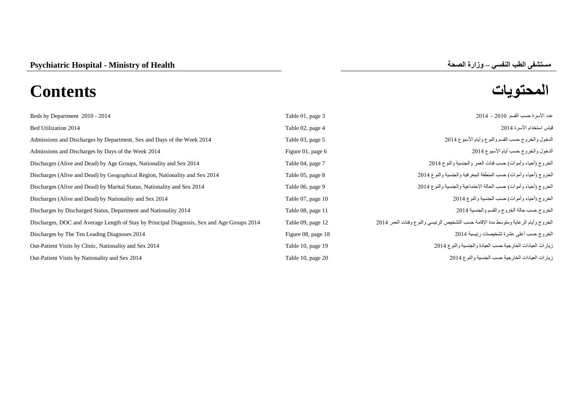| Beds by Department 2010 - 2014                                                             | Table 01, page 3   | عدد الأسرة حسب القسم  2010 -  2014                                                  |
|--------------------------------------------------------------------------------------------|--------------------|-------------------------------------------------------------------------------------|
| Bed Utilization 2014                                                                       | Table 02, page 4   | قياس استخدام الأسرة 2014                                                            |
| Admissions and Discharges by Department, Sex and Days of the Week 2014                     | Table 03, page 5   | الدخول والخروج حسب القسم والنوع وأيام الأسبوع 2014                                  |
| Admissions and Discharges by Days of the Week 2014                                         | Figure 01, page 6  | الدخول والخروج حسب أيام الأسبوع 2014                                                |
| Discharges (Alive and Dead) by Age Groups, Nationality and Sex 2014                        | Table 04, page 7   | الخروج (أحياء وأموات) حسب فئات العمر والجنسية والنوع 2014                           |
| Discharges (Alive and Dead) by Geographical Region, Nationality and Sex 2014               | Table 05, page 8   | الخروج (أحياء وأموات) حسب المنطقة الجغرافية والجنسية والنوع 2014                    |
| Discharges (Alive and Dead) by Marital Status, Nationality and Sex 2014                    | Table 06, page 9   | الخروج (أحياء وأموات) حسب الحالة الاجتماعية والجنسية والنوع 2014                    |
| Discharges (Alive and Dead) by Nationality and Sex 2014                                    | Table 07, page 10  | الخروج (أحياء وأموات) حسب الجنسية والنوع 2014                                       |
| Discharges by Discharged Status, Department and Nationality 2014                           | Table 08, page 11  | الخروج حسب حالة الخروج والقسم والجنسية 2014                                         |
| Discharges, DOC and Average Length of Stay by Principal Diagnosis, Sex and Age Groups 2014 | Table 09, page 12  | الخروج وأيام الرعاية ومتوسط مدة الإقامة حسب التشخيص الرئيسي والنوع وفئات العمر 2014 |
| Discharges by The Ten Leading Diagnoses 2014                                               | Figure 08, page 18 | الخروج حسب أعلى عشرة تشخيصات رئيسية 2014                                            |
| Out-Patient Visits by Clinic, Nationality and Sex 2014                                     | Table 10, page 19  | زيارات العيادات الخارجية حسب العيادة والجنسية والنوع 2014                           |
| Out-Patient Visits by Nationality and Sex 2014                                             | Table 10, page 20  | زيارات العيادات الخارجية حسب الجنسية والنوع 2014                                    |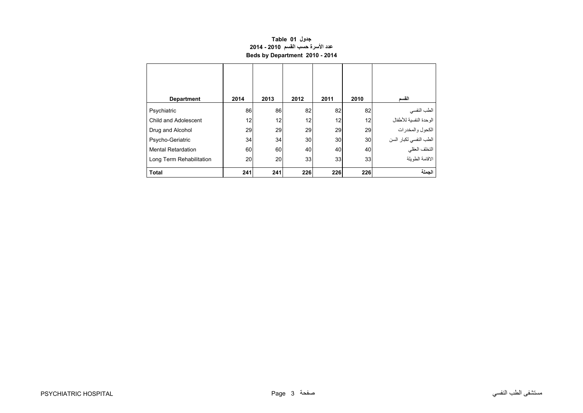# **جدول 01 Table عدد األسرة حسب القسم 2010 - 2014 Beds by Department 2010 - 2014**

<span id="page-1-0"></span>

| <b>Department</b>         | 2014 | 2013 | 2012 | 2011 | 2010 | القسم                                   |
|---------------------------|------|------|------|------|------|-----------------------------------------|
| Psychiatric               | 86   | 86   | 82   | 82   | 82   | الطب النفسي                             |
| Child and Adolescent      | 12   | 12   | 12   | 12   | 12   | الوحدة النفسية للأطفال                  |
| Drug and Alcohol          | 29   | 29   | 29   | 29   | 29   | ر<br>الكحول والمخدرات                   |
| Psycho-Geriatric          | 34   | 34   | 30   | 30   | 30   |                                         |
| <b>Mental Retardation</b> | 60   | 60   | 40   | 40   | 40   | الطب النفسي لكبار السن<br>التخلف العقلي |
| Long Term Rehabilitation  | 20   | 20   | 33   | 33   | 33   | الاقامة الطويلة                         |
| <b>Total</b>              | 241  | 241  | 226  | 226  | 226  | الحملة                                  |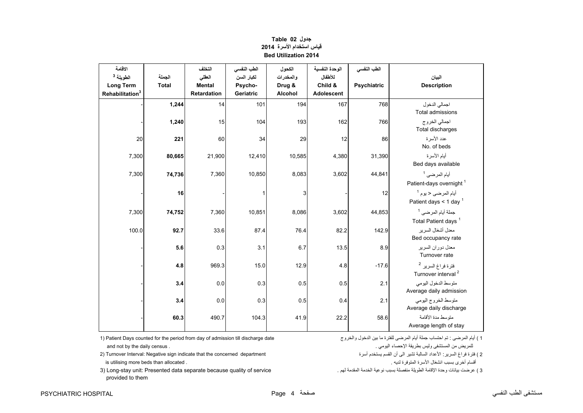<span id="page-2-0"></span>

| الاقامة<br>الطويلة <sup>3</sup><br><b>Long Term</b><br>Rehabilitation <sup>3</sup> | الجملة<br><b>Total</b> | التخلف<br>العقلى<br><b>Mental</b><br><b>Retardation</b> | الطب النفسي<br>لكبار السن<br>Psycho-<br>Geriatric | الكحول<br>والمخدرات<br>Drug &<br>Alcohol | الوحدة النفسية<br>للأطفال<br>Child &<br><b>Adolescent</b> | الطب النفسي<br>Psychiatric | البيان<br><b>Description</b>                                     |
|------------------------------------------------------------------------------------|------------------------|---------------------------------------------------------|---------------------------------------------------|------------------------------------------|-----------------------------------------------------------|----------------------------|------------------------------------------------------------------|
|                                                                                    | 1,244                  | 14                                                      | 101                                               | 194                                      | 167                                                       | 768                        | اجمالي الدخول<br><b>Total admissions</b>                         |
|                                                                                    | 1,240                  | 15                                                      | 104                                               | 193                                      | 162                                                       | 766                        | اجمالي الخروج<br>Total discharges                                |
| 20                                                                                 | 221                    | 60                                                      | 34                                                | 29                                       | 12                                                        | 86                         | عدد الأسر ة<br>No. of beds                                       |
| 7,300                                                                              | 80,665                 | 21,900                                                  | 12,410                                            | 10,585                                   | 4,380                                                     | 31,390                     | أيام الأسرة<br>Bed days available                                |
| 7,300                                                                              | 74,736                 | 7,360                                                   | 10,850                                            | 8,083                                    | 3,602                                                     | 44,841                     | أيام المرضى <sup>1</sup><br>Patient-days overnight <sup>1</sup>  |
|                                                                                    | 16                     |                                                         | $\mathbf{1}$                                      | 3                                        |                                                           | 12                         | أيام المرضى < يوم <sup>1</sup><br>Patient days < 1 day $1$       |
| 7,300                                                                              | 74,752                 | 7,360                                                   | 10,851                                            | 8,086                                    | 3,602                                                     | 44,853                     | جملة أيام المرضى <sup>1</sup><br>Total Patient days <sup>1</sup> |
| 100.0                                                                              | 92.7                   | 33.6                                                    | 87.4                                              | 76.4                                     | 82.2                                                      | 142.9                      | معدل أشغال السرير<br>Bed occupancy rate                          |
|                                                                                    | 5.6                    | 0.3                                                     | 3.1                                               | 6.7                                      | 13.5                                                      | 8.9                        | معدل دوران السرير<br>Turnover rate                               |
|                                                                                    | 4.8                    | 969.3                                                   | 15.0                                              | 12.9                                     | 4.8                                                       | $-17.6$                    | فترة فراغ السرير <sup>2</sup><br>Turnover interval <sup>2</sup>  |
|                                                                                    | 3.4                    | 0.0                                                     | 0.3                                               | 0.5                                      | 0.5                                                       | 2.1                        | متوسط الدخول اليومي<br>Average daily admission                   |
|                                                                                    | 3.4                    | 0.0                                                     | 0.3                                               | 0.5                                      | 0.4                                                       | 2.1                        | متوسط الخروج اليومي<br>Average daily discharge                   |
|                                                                                    | 60.3                   | 490.7                                                   | 104.3                                             | 41.9                                     | 22.2                                                      | 58.6                       | منّوسط مدة الأقامة<br>Average length of stay                     |

# **جدول 02 Table قياس استخدام األسرة<sup>2014</sup> Bed Utilization 2014**

للمريض من المستشفى وليس بطريقة اإلحصاء اليومي . . census daily the by not and

2 ) فترة فراغ السرير: األعداد السالبة تشير الى أن القسم يستخدم أسرة department concerned the that indicate sign Negative :Interval Turnover) 2 أقسام أخرى بسبب انشغال األسرة المتوفرة لديه . . allocated than beds more utilising is

3 ) عرضت بيانات وحدة اإلقامة الطويلة منفصلة بسبب نوعية الخدمة المقدمة لھم . service of quality because separate data Presented :unit stay-Long) 3 provided to them

1) Patient Days counted for the period from day of admission till discharge date والخروج الدخول بين ما للفترة المرضى أيام جملة احتساب تم : المرضى أيام ) <sup>1</sup>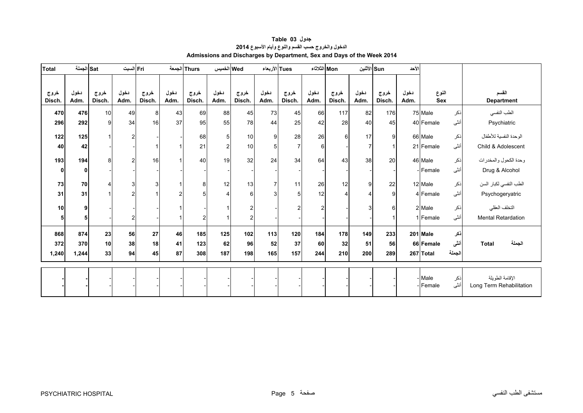<span id="page-3-0"></span>

| <b>Total</b>         | Satالجملة    |                | Fri السبت      |                |                | Thurs  الجمعة  | Wed الخميس     |                | Tues الأربعاء  |                | Mon الثلاثاء   |                       | Sun الأثنين  |                | الأحد        |                     |             |                                             |
|----------------------|--------------|----------------|----------------|----------------|----------------|----------------|----------------|----------------|----------------|----------------|----------------|-----------------------|--------------|----------------|--------------|---------------------|-------------|---------------------------------------------|
| خروج<br><b>Disch</b> | دخول<br>Adm. | خروج<br>Disch. | دخول<br>Adm.   | خروج<br>Disch. | دخول<br>Adm.   | خروج<br>Disch. | دخول<br>Adm.   | خروج<br>Disch. | دخول<br>Adm.   | خروج<br>Disch. | دخول<br>Adm.   | خروج<br>Disch.        | دخول<br>Adm. | خروج<br>Disch. | دخول<br>Adm. | النوع<br><b>Sex</b> |             | القسم<br><b>Department</b>                  |
|                      |              |                |                |                |                |                |                |                |                |                |                |                       |              |                |              |                     |             |                                             |
| 470                  | 476          | 10             | 49             | 8              | 43             | 69             | 88             | 45             | 73             | 45             | 66             | 117                   | 82           | 176            |              | 75 Male             | ذكر         | الطب النفسي                                 |
| 296                  | 292          | 9              | 34             | 16             | 37             | 95             | 55             | 78             | 44             | 25             | 42             | 28                    | 40           | 45             |              | 40 Female           | أنثى        | Psychiatric                                 |
| 122                  | 125          |                | $\overline{c}$ |                |                | 68             | 5              | 10             | 9              | 28             | 26             | 6                     | 17           | 9              |              | 66 Male             | ذكر         | الوحدة النفسية للأطفال                      |
| 40                   | 42           |                |                |                |                | 21             | $\overline{c}$ | 10             | 5              | $\overline{7}$ | 6              |                       | 7            |                |              | 21 Female           | أنثى        | Child & Adolescent                          |
| 193                  | 194          | 8              | $\overline{c}$ | 16             |                | 40             | 19             | 32             | 24             | 34             | 64             | 43                    | 38           | 20             |              | 46 Male             | نكر         | وحدة الكحول والمخدرات                       |
| 0                    | $\mathbf 0$  |                |                |                |                |                |                |                |                |                |                |                       |              |                |              | - <b>Female</b>     | أنثى        | Drug & Alcohol                              |
| 73                   | 70           | $\overline{4}$ | 3              | $\overline{3}$ |                | 8 <sup>1</sup> | 12             | 13             | $\overline{7}$ | 11             | 26             | 12                    | 9            | 22             |              | 12 Male             | ذكر         | الطب النفسي لكبار السن                      |
| 31                   | 31           |                | $\overline{c}$ |                | $\overline{2}$ | 5              | $\Delta$       | 6              | 3              | 5              | 12             | $\boldsymbol{\Delta}$ | Δ            | 9              |              | 4 Female            | أنثى        | Psychogeryatric                             |
| 10                   | 9            |                |                |                |                |                |                | $\overline{2}$ |                | $\overline{2}$ | $\overline{2}$ |                       | 3            | 6              |              | 2 Male              | ذكر         | التخلف العقلي                               |
| 5                    | 5            |                | 2              |                |                | 2              |                | 2              |                |                |                |                       |              |                |              | 1 Female            | أنثى        | <b>Mental Retardation</b>                   |
| 868                  | 874          | 23             | 56             | 27             | 46             | 185            | 125            | 102            | 113            | 120            | 184            | 178                   | 149          | 233            |              | 201 Male            | نكر         |                                             |
| 372                  | 370          | 10             | 38             | 18             | 41             | 123            | 62             | 96             | 52             | 37             | 60             | 32                    | 51           | 56             |              | 66 Female           | أنثى        | الجملة<br><b>Total</b>                      |
|                      |              |                |                |                |                |                |                |                |                |                |                |                       |              |                |              |                     |             |                                             |
| 1,240                | 1,244        | 33             | 94             | 45             | 87             | 308            | 187            | 198            | 165            | 157            | 244            | 210                   | 200          | 289            |              | 267 Total           | االجملة     |                                             |
|                      |              |                |                |                |                |                |                |                |                |                |                |                       |              |                |              |                     |             |                                             |
|                      |              |                |                |                |                |                |                |                |                |                |                |                       |              |                |              | - Male<br>-Female   | ذكر<br>أنثى | الإقامة الطويلة<br>Long Term Rehabilitation |

**جدول 03 Table الدخول والخروج حسب القسم والنوع وأيام األسبوع<sup>2014</sup> Admissions and Discharges by Department, Sex and Days of the Week 2014**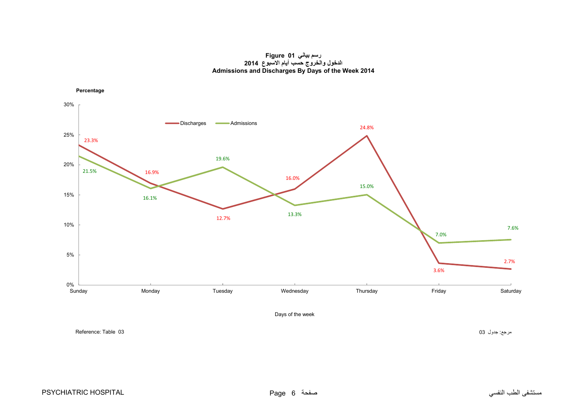#### **رسم بياني 01 Figure الدخول والخروج حسب أيام االسبوع <sup>2014</sup> Admissions and Discharges By Days of the Week 2014**

<span id="page-4-0"></span>

مرجع: جدول 03 03 Neference: Table : 03 مرجع: جدول 03 O3 المسرجع: جدول 03 Reference: Table 03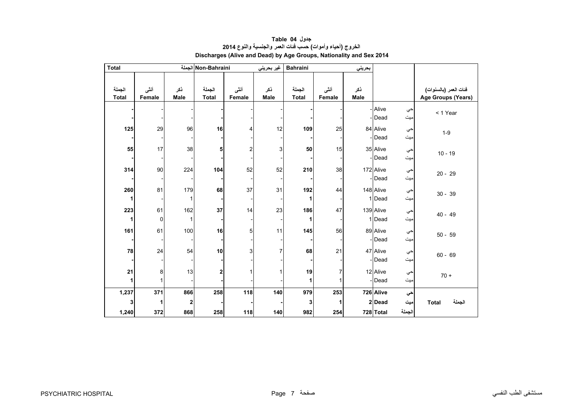<span id="page-5-0"></span>

|                        |           |                     | بحريني |        | <b>Bahraini</b> | غير بحريني |        | Non-Bahraini الجملة |             |         | <b>Total</b> |
|------------------------|-----------|---------------------|--------|--------|-----------------|------------|--------|---------------------|-------------|---------|--------------|
|                        |           |                     |        |        |                 |            |        |                     |             |         |              |
| فَنات العمر (بالسنوات) |           |                     | ذكر    | أنثى   | الجملة          | نكر        | أننى   | الجملة              | نكر         | أنثى    | الجملة       |
| Age Groups (Years)     |           |                     | Male   | Female | <b>Total</b>    | Male       | Female | <b>Total</b>        | <b>Male</b> | Female  | <b>Total</b> |
| < 1 Year               | حي<br>میت | - Alive<br>- Dead   |        |        |                 |            |        |                     |             |         |              |
| $1 - 9$                | حي<br>ميت | 84 Alive<br>- Dead  |        | 25     | 109             | 12         | 4      | 16                  | 96          | 29      | 125          |
| $10 - 19$              | حي<br>میت | 35 Alive<br>- Dead  |        | 15     | 50              | 3          | 2      | 5                   | 38          | 17      | 55           |
| $20 - 29$              | حي<br>میت | 172 Alive<br>- Dead |        | 38     | 210             | 52         | 52     | 104                 | 224         | 90      | 314          |
| $30 - 39$              | حي<br>ميت | 148 Alive<br>1 Dead |        | 44     | 192             | 31         | 37     | 68                  | 179<br>1    | 81      | 260          |
| $40 - 49$              | حي<br>میت | 139 Alive<br>1 Dead |        | 47     | 186             | 23         | 14     | 37                  | 162<br>1    | 61<br>0 | 223          |
| $50 - 59$              | حي<br>ميت | 89 Alive<br>- Dead  |        | 56     | 145             | 11         | 5      | 16                  | 100         | 61      | 161          |
| $60 - 69$              | حي<br>ميت | 47 Alive<br>- Dead  |        | 21     | 68              | 7          | 3      | 10                  | 54          | 24      | 78           |
| $70 +$                 | حي<br>میت | 12 Alive<br>- Dead  |        |        | 19              |            |        | $\mathbf 2$         | 13          | 8       | 21           |
|                        | حي        | 726 Alive           |        | 253    | 979             | 140        | 118    | 258                 | 866         | 371     | 1,237        |
| الجملة<br><b>Total</b> | میت       | 2Dead               |        |        | 3               |            |        |                     | 2           | 1       | 3            |
|                        | الجملة    | 728 Total           |        | 254    | 982             | 140        | 118    | 258                 | 868         | 372     | 1,240        |

## **جدول 04 Table الخروج (أحياء وأموات) حسب فئات العمر والجنسية والنوع <sup>2014</sup> Discharges (Alive and Dead) by Age Groups, Nationality and Sex 2014**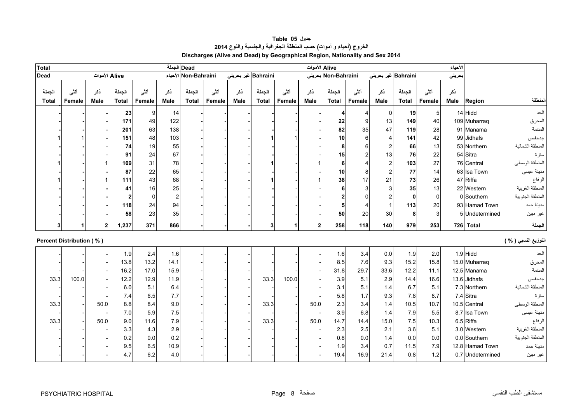<span id="page-6-0"></span>

| <b>Total</b>           |                                 | Dead الجملة    |                        |                |                    |                        |                 |             |                        |                | الأحياء        |                        |                |                     |                 |                |             |                  |                      |
|------------------------|---------------------------------|----------------|------------------------|----------------|--------------------|------------------------|-----------------|-------------|------------------------|----------------|----------------|------------------------|----------------|---------------------|-----------------|----------------|-------------|------------------|----------------------|
| <b>Dead</b>            |                                 | Alive الأموات  |                        |                |                    | الأحياء Non-Bahraini   |                 |             | Bahraini غیر بحرینی    |                |                | Non-Bahraini بحرينى    |                | Bahraini غير بحريني |                 |                | حريني       |                  |                      |
| الجملة<br><b>Total</b> | أنشى<br>Female                  | نكر<br>Male    | الجملة<br><b>Total</b> | أنشى<br>Female | نكر<br><b>Male</b> | الجملة<br><b>Total</b> | أننسى<br>Female | نكر<br>Male | الجملة<br><b>Total</b> | أننى<br>Female | ذكر<br>Male    | الجملة<br><b>Total</b> | أننى<br>Female | نكر<br>Male         | الجملة<br>Total | أنشى<br>Female | نكر<br>Male | Region           | المنطقة              |
|                        |                                 |                | 23                     | 9              | 14                 |                        |                 |             |                        |                |                | 4                      | 4              | 0                   | 19              | 5              |             | 14 Hidd          | الحد                 |
|                        |                                 |                | 171                    | 49             | 122                |                        |                 |             |                        |                |                | 22                     | 9              | 13                  | 149             | 40             |             | 109 Muharraq     | المحرق               |
|                        |                                 |                | 201                    | 63             | 138                |                        |                 |             |                        |                |                | 82                     | 35             | 47                  | 119             | 28             |             | 91 Manama        | المنامة              |
|                        |                                 |                | 151                    | 48             | 103                |                        |                 |             |                        |                |                | 10                     | 6              | $\overline{4}$      | 141             | 42             |             | 99 Jidhafs       | جدحفص                |
|                        |                                 |                | 74                     | 19             | 55                 |                        |                 |             |                        |                |                | 8                      |                | 2                   | 66              | 13             |             | 53 Northern      | المنطقة الشمالية     |
|                        |                                 |                | 91                     | 24             | 67                 |                        |                 |             |                        |                |                | 15                     |                | 13                  | 76              | 22             |             | 54 Sitra         | سترة                 |
|                        |                                 |                | 109                    | 31             | 78                 |                        |                 |             |                        |                |                | 6                      |                | $\overline{c}$      | 103             | 27             |             | 76 Central       | المنطقة الوسطى       |
|                        |                                 |                | 87                     | 22             | 65                 |                        |                 |             |                        |                |                | 10                     |                | $\overline{c}$      | 77              | 14             |             | 63 Isa Town      | مدينة عيسى           |
|                        |                                 |                | 111                    | 43             | 68                 |                        |                 |             |                        |                |                | 38                     | 17             | 21                  | 73              | 26             |             | 47 Riffa         | الرفاع               |
|                        |                                 |                | 41                     | 16             | 25                 |                        |                 |             |                        |                |                | 6                      |                | 3                   | 35              | 13             |             | 22 Western       | المنطقة الغربية      |
|                        |                                 |                | 2                      |                | $\overline{2}$     |                        |                 |             |                        |                |                |                        |                |                     | $\mathbf{0}$    | $\Omega$       |             | 0 Southern       | المنطقة الجنوبية     |
|                        |                                 |                | 118                    | 24             | 94                 |                        |                 |             |                        |                |                | 5                      |                |                     | 113             | 20             |             | 93 Hamad Town    | مدينة حمد            |
|                        |                                 |                | 58                     | 23             | 35                 |                        |                 |             |                        |                |                | 50                     | 20             | 30                  | 8               | 3              |             | 5 Undetermined   | غير مبين             |
| 3                      | $\mathbf{1}$                    | $\overline{2}$ | 1,237                  | 371            | 866                |                        |                 |             | $\overline{3}$         | 1              | $\overline{2}$ | 258                    | 118            | 140                 | 979             | 253            | 726         | Total            | الجملة               |
|                        | <b>Percent Distribution (%)</b> |                |                        |                |                    |                        |                 |             |                        |                |                |                        |                |                     |                 |                |             |                  | التوزيع النسبي ( % ) |
|                        |                                 |                | 1.9                    | 2.4            | 1.6                |                        |                 |             |                        |                |                | 1.6                    | 3.4            | 0.0                 | 1.9             | 2.0            |             | $1.9$ Hidd       | الحد                 |
|                        |                                 |                | 13.8                   | 13.2           | 14.1               |                        |                 |             |                        |                |                | 8.5                    | 7.6            | 9.3                 | 15.2            | 15.8           |             | 15.0 Muharraq    | المحرق               |
|                        |                                 |                | 16.2                   | 17.0           | 15.9               |                        |                 |             |                        |                |                | 31.8                   | 29.7           | 33.6                | 12.2            | 11.1           |             | 12.5 Manama      | المنامة              |
| 33.3                   | 100.0                           |                | 12.2                   | 12.9           | 11.9               |                        |                 |             | 33.3                   | 100.0          |                | 3.9                    | 5.1            | 2.9                 | 14.4            | 16.6           |             | 13.6 Jidhafs     | جدحفص                |
|                        |                                 |                | 6.0                    | 5.1            | 6.4                |                        |                 |             |                        |                |                | 3.1                    | 5.1            | 1.4                 | 6.7             | 5.1            |             | 7.3 Northern     | المنطقة الشمالية     |
|                        |                                 |                | 7.4                    | 6.5            | 7.7                |                        |                 |             |                        |                |                | 5.8                    | 1.7            | 9.3                 | 7.8             | 8.7            |             | 7.4 Sitra        | سترة                 |
| 33.3                   |                                 | 50.0           | 8.8                    | 8.4            | 9.0                |                        |                 |             | 33.3                   |                | 50.0           | 2.3                    | 3.4            | 1.4                 | 10.5            | 10.7           |             | 10.5 Central     | المنطقة الوسطى       |
|                        |                                 |                | 7.0                    | 5.9            | 7.5                |                        |                 |             |                        |                |                | 3.9                    | 6.8            | 1.4                 | 7.9             | 5.5            |             | 8.7 Isa Town     | مدينة عيسى           |
| 33.3                   |                                 | 50.0           | 9.0                    | 11.6           | 7.9                |                        |                 |             | 33.3                   |                | 50.0           | 14.7                   | 14.4           | 15.0                | 7.5             | 10.3           |             | 6.5 Riffa        | الرفاع               |
|                        |                                 |                | 3.3                    | 4.3            | 2.9                |                        |                 |             |                        |                |                | 2.3                    | 2.5            | 2.1                 | 3.6             | 5.1            |             | 3.0 Western      | المنطقة الغربية      |
|                        |                                 |                | 0.2                    | 0.0            | 0.2                |                        |                 |             |                        |                |                | 0.8                    | 0.0            | 1.4                 | 0.0             | 0.0            |             | 0.0 Southern     | المنطقة الجنوبية     |
|                        |                                 |                | 9.5                    | 6.5            | 10.9               |                        |                 |             |                        |                |                | 1.9                    | 3.4            | 0.7                 | 11.5            | 7.9            |             | 12.8 Hamad Town  | مدينة حمد            |
|                        |                                 |                | 4.7                    | 6.2            | 4.0                |                        |                 |             |                        |                |                | 19.4                   | 16.9           | 21.4                | 0.8             | 1.2            |             | 0.7 Undetermined | غير مبين             |

**جدول 05 Table الخروج (أحياء <sup>و</sup> أموات) حسب المنطقة الجغرافية والجنسية والنوع <sup>2014</sup> Discharges (Alive and Dead) by Geographical Region, Nationality and Sex 2014**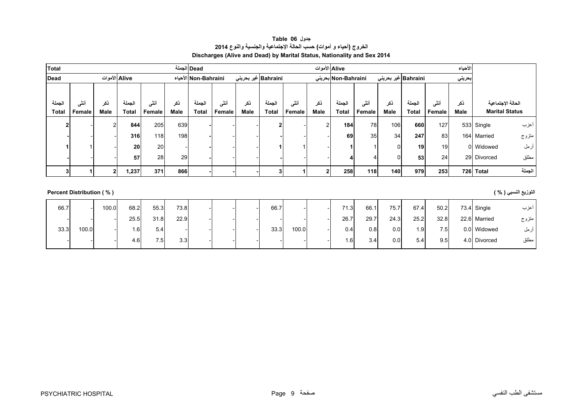| جدول Table 06                                                           |
|-------------------------------------------------------------------------|
| الخروج (أحياء و أموات) حسب الحالة الإجتماعية والجنسية والنوع 2014       |
| Discharges (Alive and Dead) by Marital Status, Nationality and Sex 2014 |

<span id="page-7-0"></span>

| <b>Total</b> |                          |                |               |        |      | Dead الجملة          |        |      |                     |                |             | Alive الأموات       |        |                     |              |        | الأحياء |                       |
|--------------|--------------------------|----------------|---------------|--------|------|----------------------|--------|------|---------------------|----------------|-------------|---------------------|--------|---------------------|--------------|--------|---------|-----------------------|
| <b>Dead</b>  |                          |                | Alive الأموات |        |      | Non-Bahraini الأحياء |        |      | Bahraini غیر بحرینی |                |             | Non-Bahraini بحرينى |        | Bahraini غیر بحرینی |              |        | بحريني  |                       |
| الجملة       | أننى                     | ذكر            | الجملة        | أنشى   | ذكر  | الجملة               | أنشى   | ذكر  | الجملة              |                |             | الجملة              | أننس   | نكر                 | الجملة       | أنشى   | نكر     | الحالة الإجتماعية     |
| <b>Total</b> | Female                   | Male           | <b>Total</b>  | Female | Male | <b>Total</b>         | Female | Male | <b>Total</b>        | أنثى<br>Female | ذكر<br>Male | <b>Total</b>        | Female | Male                | <b>Total</b> | Female | Male    | <b>Marital Status</b> |
|              |                          |                |               |        |      |                      |        |      |                     |                |             |                     |        |                     |              |        |         |                       |
|              |                          | $\overline{2}$ | 844           | 205    | 639  |                      |        |      |                     |                | 2           | 184                 | 78     | 106                 | 660          | 127    |         | أعزب<br>533 Single    |
|              |                          |                | 316           | 118    | 198  |                      |        |      |                     |                |             | 69                  | 35     | 34                  | 247          | 83     |         | 164 Married<br>متزوج  |
|              |                          |                | 20            | 20     |      |                      |        |      |                     |                |             |                     |        | $\Omega$            | 19           | 19     |         | أرمل<br>0 Widowed     |
|              |                          |                | 57            | 28     | 29   |                      |        |      |                     |                |             |                     |        | $\Omega$            | 53           | 24     |         | مطلق<br>29 Divorced   |
|              |                          | $\mathbf{2}$   | 1,237         | 371    | 866  |                      |        |      | 31                  |                | 2           | 258                 | 118    | 140                 | 979          | 253    |         | الجملة<br>726 Total   |
|              |                          |                |               |        |      |                      |        |      |                     |                |             |                     |        |                     |              |        |         |                       |
|              | Percent Distribution (%) |                |               |        |      |                      |        |      |                     |                |             |                     |        |                     |              |        |         | التوزيع النسبي ( % )  |

| 66.7 |       | 100.0 | 68.2            | 55.3 | 73.8 |  | 66.7 |       | 71.3           | 66.  | 75.7 | 67.4 | 50.2 | $73.4$ Single | اعزب  |
|------|-------|-------|-----------------|------|------|--|------|-------|----------------|------|------|------|------|---------------|-------|
|      |       |       | 25.5            | 31.8 | 22.9 |  |      |       | 26.7           | 29.7 | 24.3 | 25.2 | 32.8 | 22.6 Married  | متزوج |
| 33.3 | 100.0 |       | .6 <sup>1</sup> | 5.4  |      |  | 33.3 | 100.0 | 0.4            | 0.8  | 0.0  | l.9  | 7.5  | 0.0 Widowed   | ارمل  |
|      |       |       | 4.6             | 7.5  | 3.3  |  |      |       | $\overline{6}$ | 3.41 | 0.01 | 5.4  | 9.5  | 4.0 Divorced  | مطلق  |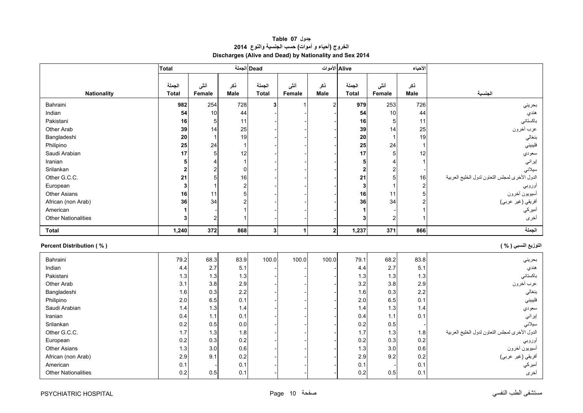# **جدول 07 Table الخروج (أحياء <sup>و</sup> أموات) حسب الجنسية والنوع <sup>2014</sup> Discharges (Alive and Dead) by Nationality and Sex 2014**

<span id="page-8-0"></span>

|                                 | Total        |              |                | Dead الجملة  |              | Alive الأموات    |              |                         | الأحياء        |                                                |
|---------------------------------|--------------|--------------|----------------|--------------|--------------|------------------|--------------|-------------------------|----------------|------------------------------------------------|
|                                 |              |              |                |              |              |                  |              |                         |                |                                                |
|                                 | الجملة       | أننى         | نكر            | الجملة       | أنشى         | نكر              | الجملة       | أننى                    | نكر            |                                                |
| <b>Nationality</b>              | <b>Total</b> | Female       | Male           | <b>Total</b> | Female       | Male             | <b>Total</b> | Female                  | <b>Male</b>    | الجنسية                                        |
| Bahraini                        | 982          | 254          | 728            | 3            |              | $\overline{2}$   | 979          | 253                     | 726            | بحريني                                         |
| Indian                          | 54           | 10           | 44             |              |              |                  | 54           | 10                      | 44             | هندي                                           |
| Pakistani                       | 16           | 5            | 11             |              |              |                  | 16           | 5                       | 11             | باكستاني                                       |
| Other Arab                      | 39           | 14           | 25             |              |              |                  | 39           | 14                      | 25             | عرب أخرون                                      |
| Bangladeshi                     | 20           | $\mathbf{1}$ | 19             |              |              |                  | 20           | $\mathbf{1}$            | 19             | بنغالي                                         |
| Philipino                       | 25           | 24           | $\mathbf{1}$   |              |              |                  | 25           | 24                      | 1              | فليبيني                                        |
| Saudi Arabian                   | 17           | 5            | 12             |              |              |                  | 17           | 5                       | 12             | سعودي                                          |
| Iranian                         | 5            | 4            | $\mathbf{1}$   |              |              |                  | 5            | $\overline{4}$          | 1              | إيراني                                         |
| Srilankan                       | $\mathbf{2}$ | 2            | $\mathbf 0$    |              |              |                  | $\mathbf 2$  | $\overline{\mathbf{c}}$ |                | سيلاني                                         |
| Other G.C.C.                    | 21           | 5            | 16             |              |              |                  | 21           | 5                       | 16             | الدول الأخرى لمجلس التعاون لدول الخليج العربية |
| European                        | 3            | $\mathbf{1}$ | $\mathbf 2$    |              |              |                  | $\mathbf{3}$ | $\overline{1}$          | 2              | اوروبي                                         |
| <b>Other Asians</b>             | 16           | 11           | 5              |              |              |                  | 16           | 11                      | 5              | أسيويون أخرون                                  |
| African (non Arab)              | 36           | 34           | $\overline{a}$ |              |              |                  | 36           | 34                      | $\overline{2}$ | أفريقي (غير عربي)                              |
| American                        | $\mathbf 1$  |              | 1              |              |              |                  | 1            |                         |                | أميركي                                         |
| <b>Other Nationalities</b>      | 3            | 2            | 1              |              |              |                  | 3            | $\overline{\mathbf{c}}$ |                | أخرى                                           |
| <b>Total</b>                    | 1,240        | 372          | 868            | 3            | $\mathbf{1}$ | $\boldsymbol{2}$ | 1,237        | 371                     | 866            | الجملة                                         |
| <b>Percent Distribution (%)</b> |              |              |                |              |              |                  |              |                         |                | التوزيع النسبي ( % )                           |
| Bahraini                        | 79.2         | 68.3         | 83.9           | 100.0        | 100.0        | 100.0            | 79.1         | 68.2                    | 83.8           | بحريني                                         |
| Indian                          | 4.4          | 2.7          | 5.1            |              |              |                  | 4.4          | 2.7                     | 5.1            | هندي                                           |
| Pakistani                       | 1.3          | 1.3          | 1.3            |              |              |                  | 1.3          | 1.3                     | 1.3            | باكستانى                                       |
| Other Arab                      | 3.1          | 3.8          | 2.9            |              |              |                  | 3.2          | 3.8                     | 2.9            | عرب أخرون                                      |
| Bangladeshi                     | 1.6          | 0.3          | 2.2            |              |              |                  | 1.6          | 0.3                     | 2.2            | بنغالى                                         |
| Philipino                       | 2.0          | 6.5          | 0.1            |              |              |                  | 2.0          | 6.5                     | 0.1            | فليبيني                                        |
| Saudi Arabian                   | 1.4          | 1.3          | 1.4            |              |              |                  | 1.4          | 1.3                     | 1.4            | سعودي                                          |
| Iranian                         | 0.4          | 1.1          | 0.1            |              |              |                  | 0.4          | 1.1                     | 0.1            | إيراني                                         |
| Srilankan                       | 0.2          | 0.5          | 0.0            |              |              |                  | 0.2          | 0.5                     |                | سيلاني                                         |
| Other G.C.C.                    | 1.7          | 1.3          | 1.8            |              |              |                  | 1.7          | 1.3                     | 1.8            | الدول الأخرى لمجلس التعاون لدول الخليج العربية |
| European                        | 0.2          | 0.3          | 0.2            |              |              |                  | 0.2          | 0.3                     | 0.2            | أوروبي                                         |
| <b>Other Asians</b>             | 1.3          | 3.0          | 0.6            |              |              |                  | 1.3          | 3.0                     | 0.6            | أسيويون أخرون                                  |
| African (non Arab)              | 2.9          | 9.1          | 0.2            |              |              |                  | 2.9          | 9.2                     | 0.2            | أفريقي (غير عربي)                              |
| American                        | 0.1          |              | 0.1            |              |              |                  | 0.1          |                         | 0.1            | أميركي                                         |
| <b>Other Nationalities</b>      | 0.2          | 0.5          | 0.1            |              |              |                  | 0.2          | 0.5                     | 0.1            | أخرى                                           |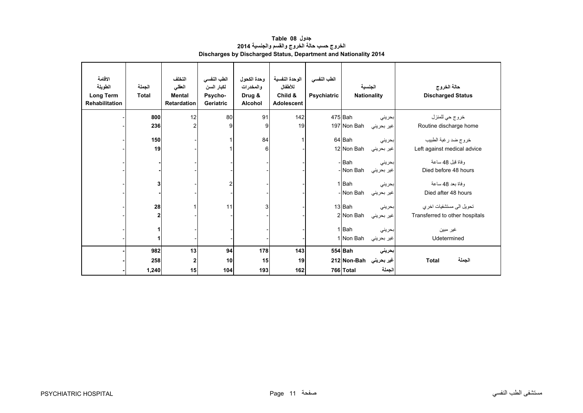<span id="page-9-0"></span>

| الاقامة<br>الطويلة<br><b>Long Term</b><br><b>Rehabilitation</b> | الجملة<br><b>Total</b> | التخلف<br>العقلى<br><b>Mental</b><br><b>Retardation</b> | الطب النفسي<br>لكبار السن<br>Psycho-<br>Geriatric | وحدة الكحول<br>والمخدرات<br>Drug &<br><b>Alcohol</b> | الوحدة النفسية<br>للأطفال<br>Child &<br>Adolescent | الطب النفسى<br><b>Psychiatric</b> | الجنسية<br><b>Nationality</b> |            | حالة الخروج<br><b>Discharged Status</b> |
|-----------------------------------------------------------------|------------------------|---------------------------------------------------------|---------------------------------------------------|------------------------------------------------------|----------------------------------------------------|-----------------------------------|-------------------------------|------------|-----------------------------------------|
|                                                                 | 800                    | 12                                                      | 80                                                | 91                                                   | 142                                                |                                   | 475 Bah                       | بحريني     | خروج حي للمنزل                          |
|                                                                 | 236                    |                                                         | 9                                                 | 9                                                    | 19                                                 |                                   | 197 Non Bah                   | غير بحريني | Routine discharge home                  |
|                                                                 | 150                    |                                                         |                                                   | 84                                                   |                                                    |                                   | 64 Bah                        | بحريني     | خروج ضد رغبة الطبيب                     |
|                                                                 | 19                     |                                                         |                                                   | 6                                                    |                                                    |                                   | 12 Non Bah                    | غير بحريني | Left against medical advice             |
|                                                                 |                        |                                                         |                                                   |                                                      |                                                    |                                   | - Bah                         | بحرينى     | وفاة قبل 48 ساعة                        |
|                                                                 |                        |                                                         |                                                   |                                                      |                                                    |                                   | - Non Bah                     | غير بحريني | Died before 48 hours                    |
|                                                                 | 3                      |                                                         | 2                                                 |                                                      |                                                    |                                   | 1 Bah                         | بحريني     | وفاة بعد 48 ساعة                        |
|                                                                 |                        |                                                         |                                                   |                                                      |                                                    |                                   | - Non Bah                     | غير بحريني | Died after 48 hours                     |
|                                                                 | 28                     |                                                         | 11                                                | 3                                                    |                                                    |                                   | 13 Bah                        | بحريني     | تحويل الى مستشفيات اخر ي                |
|                                                                 | 2                      |                                                         |                                                   |                                                      |                                                    |                                   | 2 Non Bah                     | غير بحريني | Transferred to other hospitals          |
|                                                                 | 1                      |                                                         |                                                   |                                                      |                                                    |                                   | 1Bah                          | بحرينى     | غير مبين                                |
|                                                                 | 1                      |                                                         |                                                   |                                                      |                                                    |                                   | 1 Non Bah                     | غير بحريني | Udetermined                             |
|                                                                 | 982                    | 13                                                      | 94                                                | 178                                                  | 143                                                |                                   | 554 Bah                       | بحريني     |                                         |
|                                                                 | 258                    | $\mathbf{2}$                                            | 10                                                | 15                                                   | 19                                                 |                                   | غير بحريني  Non-Bahإ 212      |            | الجملة<br><b>Total</b>                  |
|                                                                 | 1,240                  | 15                                                      | 104                                               | 193                                                  | 162                                                |                                   | 766 Total                     | الجملة     |                                         |

## **جدول 08 Table الخروج حسب حالة الخروج والقسم والجنسية <sup>2014</sup> Discharges by Discharged Status, Department and Nationality 2014**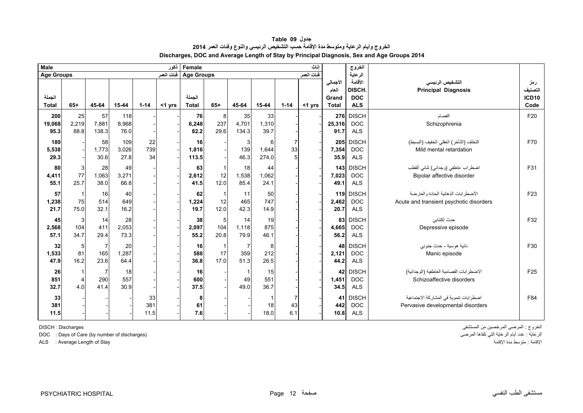<span id="page-10-0"></span>

| <b>Male</b>            |                            |                               |                      |                   | أنكور      | Female                 |                            |                            |                            |                             | اناث       |                                            | الخروج                                        |                                                                                |                                |
|------------------------|----------------------------|-------------------------------|----------------------|-------------------|------------|------------------------|----------------------------|----------------------------|----------------------------|-----------------------------|------------|--------------------------------------------|-----------------------------------------------|--------------------------------------------------------------------------------|--------------------------------|
| Age Groups             |                            |                               |                      |                   | فنات العمر | <b>Age Groups</b>      |                            |                            |                            |                             | فنات العمر |                                            | الرعاية                                       |                                                                                |                                |
| الجملة<br><b>Total</b> | $65+$                      | 45-64                         | 15-44                | $1 - 14$          | <1 yrs     | الجملة<br><b>Total</b> | $65+$                      | 45-64                      | 15-44                      | $1 - 14$                    | $<$ 1 yrs  | الأجمالي<br>العام<br>Grand<br><b>Total</b> | الأقامة<br>DISCH.<br><b>DOC</b><br><b>ALS</b> | التشخيص الرئيسى<br><b>Principal Diagnosis</b>                                  | رمز<br>لتصنيف<br>ICD10<br>Code |
| 200<br>19,068<br>95.3  | 25<br>2,219<br>88.8        | 57<br>7,881<br>138.3          | 118<br>8,968<br>76.0 |                   |            | 76<br>6,248<br>82.2    | 8<br>237<br>29.6           | 35<br>4,701<br>134.3       | 33<br>1,310<br>39.7        |                             |            | 25,316<br>91.7                             | 276 DISCH<br><b>DOC</b><br><b>ALS</b>         | الفصام<br>Schizophrenia                                                        | F20                            |
| 189<br>5,538<br>29.3   |                            | 58<br>1,773<br>30.6           | 109<br>3,026<br>27.8 | 22<br>739<br>34   |            | 16<br>1,816<br>113.5   |                            | 3<br>139<br>46.3           | 6<br>1,644<br>274.0        | 7<br>33<br>5                |            | 7,354<br>35.9                              | 205 DISCH<br><b>DOC</b><br><b>ALS</b>         | التخلف (التأخر ) العقلى الخفيف (البسيط)<br>Mild mental retardation             | F70                            |
| 80<br>4,411<br>55.1    | 3<br>77<br>25.7            | 28<br>1,063<br>38.0           | 49<br>3,271<br>66.8  |                   |            | 63<br>2,612<br>41.5    | -1<br>12<br>12.0           | 18<br>1,538<br>85.4        | 44<br>1,062<br>24.1        |                             |            | 7,023<br>49.1                              | 143 DISCH<br><b>DOC</b><br><b>ALS</b>         | اضطراب عاطفي (وجداني) ثنائي القطب<br>Bipolar affective disorder                | F31                            |
| 57<br>1,238<br>21.7    | $\mathbf{1}$<br>75<br>75.0 | 16<br>514<br>32.1             | 40<br>649<br>16.2    |                   |            | 62<br>1,224<br>19.7    | -1<br>12<br>12.0           | 11<br>465<br>42.3          | 50<br>747<br>14.9          |                             |            | 2,462<br>20.7                              | 119 DISCH<br><b>DOC</b><br><b>ALS</b>         | الأضطرابات الذهانية الحادة والعارضة<br>Acute and transient psychotic disorders | F <sub>23</sub>                |
| 45<br>2,568<br>57.1    | 3<br>104<br>34.7           | 14<br>411<br>29.4             | 28<br>2,053<br>73.3  |                   |            | 38<br>2,097<br>55.2    | 5<br>104<br>20.8           | 14<br>1,118<br>79.9        | 19<br>875<br>46.1          |                             |            | 83<br>4,665<br>56.2                        | <b>DISCH</b><br><b>DOC</b><br><b>ALS</b>      | حدث إكتئابئ<br>Depressive episode                                              | F32                            |
| 32<br>1,533<br>47.9    | 5<br>81<br>16.2            | 7<br>165<br>23.6              | 20<br>1,287<br>64.4  |                   |            | 16<br>588<br>36.8      | $\mathbf{1}$<br>17<br>17.0 | 7<br>359<br>51.3           | 8<br>212<br>26.5           |                             |            | 48<br>2,121<br>44.2                        | <b>DISCH</b><br><b>DOC</b><br><b>ALS</b>      | نائية هوسية - حدث جنوني<br>Manic episode                                       | F30                            |
| 26<br>851<br>32.7      | 1<br>4<br>4.0              | $\overline{7}$<br>290<br>41.4 | 18<br>557<br>30.9    |                   |            | 16<br>600<br>37.5      |                            | $\mathbf{1}$<br>49<br>49.0 | 15<br>551<br>36.7          |                             |            | 1,451<br>34.5                              | 42 DISCH<br><b>DOC</b><br><b>ALS</b>          | الاضطر ابات الفصامية العاطفية (الوجدانية)<br>Schizoaffective disorders         | F <sub>25</sub>                |
| 33<br>381<br>11.5      |                            |                               |                      | 33<br>381<br>11.5 |            | 8<br>61<br>7.6         |                            |                            | $\mathbf{1}$<br>18<br>18.0 | $\overline{7}$<br>43<br>6.1 |            | 41<br>442<br>10.8                          | <b>DISCH</b><br><b>DOC</b><br><b>ALS</b>      | اضطرابات تنموية في المشاركة الاجتماعية<br>Pervasive developmental disorders    | F84                            |

**جدول 09 Table الخروج وأيام الرعاية ومتوسط مدة اإلقامة حسب التشخيص الرئيسي والنوع وفئات العمر <sup>2014</sup> Discharges, DOC and Average Length of Stay by Principal Diagnosis, Sex and Age Groups 2014**

DOC : Days of Care (by number of discharges)

الخروج : المرضى المرخصين من المستشفى للمستشفى المستشفى للمستشفى المستشفى المستشفى المستشفى المستشفى المستشفى ا<br>الرعاية : عدد أيام الرعاية التي تلقاها المرضى ALS : Average Length of Stay اإلقامة مدة متوسط : اإلقامة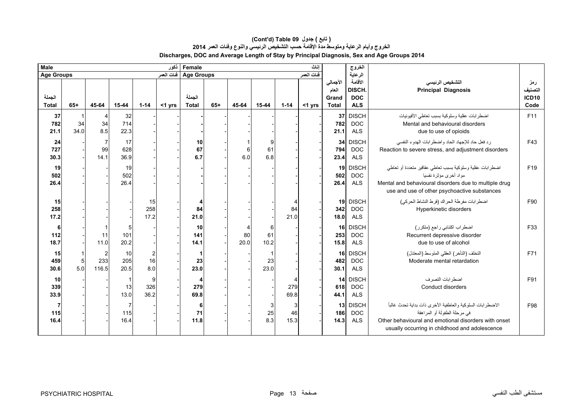### **Discharges, DOC and Average Length of Stay by Principal Diagnosis, Sex and Age Groups 2014 (Cont'd) Table 09 جدول ) تابع( الخروج وأيام الرعاية ومتوسط مدة اإلقامة حسب التشخيص الرئيسي والنوع وفئات العمر <sup>2014</sup>**

| <b>Male</b>                   | Female<br>اناث   |                                |                   |                   |            |                        |                                 | الغروج                       |                 |                 |           |                                            |                                               |                                                                                                                                                                                                         |                                        |
|-------------------------------|------------------|--------------------------------|-------------------|-------------------|------------|------------------------|---------------------------------|------------------------------|-----------------|-----------------|-----------|--------------------------------------------|-----------------------------------------------|---------------------------------------------------------------------------------------------------------------------------------------------------------------------------------------------------------|----------------------------------------|
| <b>Age Groups</b>             |                  |                                |                   |                   | فنات العمر |                        | ففات العمر<br><b>Age Groups</b> |                              |                 |                 |           |                                            | الرعاية                                       |                                                                                                                                                                                                         |                                        |
| الجملة<br><b>Total</b>        | $65+$            | 45-64                          | 15-44             | $1 - 14$          | $<$ 1 yrs  | الحملة<br><b>Total</b> | $65+$                           | 45-64                        | 15-44           | $1 - 14$        | $<$ 1 yrs | الأجمالي<br>العام<br>Grand<br><b>Total</b> | الأقامة<br>DISCH.<br><b>DOC</b><br><b>ALS</b> | التشخيص الرئيسى<br><b>Principal Diagnosis</b>                                                                                                                                                           | رمز<br>التصنيف<br><b>ICD10</b><br>Code |
| 37<br>782<br>21.1             | -1<br>34<br>34.0 | 4<br>34<br>8.5                 | 32<br>714<br>22.3 |                   |            |                        |                                 |                              |                 |                 |           | 37<br>782<br>21.1                          | <b>DISCH</b><br><b>DOC</b><br><b>ALS</b>      | اضطر ابات عقلية وسلوكية بسبب تعاطى الأفيونيات<br>Mental and behavioural disorders<br>due to use of opioids                                                                                              | F11                                    |
| 24<br>727<br>30.3             |                  | $\overline{7}$<br>99<br>14.1   | 17<br>628<br>36.9 |                   |            | 10<br>67<br>6.7        |                                 | 6<br>6.0                     | 9<br>61<br>6.8  |                 |           | 34<br>794<br>23.4                          | <b>DISCH</b><br><b>DOC</b><br><b>ALS</b>      | رد فعل حاد للإجهاد الحاد واضطرابات الهدوء النفسى<br>Reaction to severe stress, and adjustment disorders                                                                                                 | F43                                    |
| 19<br>502<br>26.4             |                  |                                | 19<br>502<br>26.4 |                   |            |                        |                                 |                              |                 |                 |           | 502<br>26.4                                | 19 DISCH<br><b>DOC</b><br><b>ALS</b>          | اضطرابات عقلية وسلوكية بسبب تعاطى عقاقير متعددة أو تعاطى<br>مواد أخرى مؤثرة نفسيا<br>Mental and behavioural disorders due to multiple drug<br>use and use of other psychoactive substances              | F <sub>19</sub>                        |
| 15<br>258<br>17.2             |                  |                                |                   | 15<br>258<br>17.2 |            | 4<br>84<br>21.0        |                                 |                              |                 | 4<br>84<br>21.0 |           | 342<br>18.0                                | 19 DISCH<br><b>DOC</b><br><b>ALS</b>          | اضطرابات مفرطة الحراك (فرط النشاط الحركي)<br>Hyperkinetic disorders                                                                                                                                     | F90                                    |
| 6<br>112<br>18.7              |                  | 11<br>11.0                     | 5<br>101<br>20.2  |                   |            | 10<br>141<br>14.1      |                                 | $\overline{4}$<br>80<br>20.0 | 6<br>61<br>10.2 |                 |           | 16<br>253<br>15.8                          | <b>DISCH</b><br><b>DOC</b><br><b>ALS</b>      | اضطراب اكتئابي راجع (متكرر)<br>Recurrent depressive disorder<br>due to use of alcohol                                                                                                                   | F33                                    |
| 15<br>459<br>30.6             | 5.0              | $\overline{c}$<br>233<br>116.5 | 10<br>205<br>20.5 | 2<br>16<br>8.0    |            | 1<br>23<br>23.0        |                                 |                              | 23<br>23.0      |                 |           | 16 <sup>1</sup><br>482<br>30.1             | <b>DISCH</b><br><b>DOC</b><br><b>ALS</b>      | التخلف (التأخر) العقلي المتوسط (المعتدل)<br>Moderate mental retardation                                                                                                                                 | F71                                    |
| 10<br>339<br>33.9             |                  |                                | 13<br>13.0        | 9<br>326<br>36.2  |            | 4<br>279<br>69.8       |                                 |                              |                 | 279<br>69.8     |           | 618<br>44.1                                | 14 DISCH<br><b>DOC</b><br><b>ALS</b>          | اضطر ابات التصر ف<br><b>Conduct disorders</b>                                                                                                                                                           | F91                                    |
| $\overline{7}$<br>115<br>16.4 |                  |                                | 115<br>16.4       |                   |            | 6<br>71<br>11.8        |                                 |                              | 3<br>25<br>8.3  | 3<br>46<br>15.3 |           | 186<br>14.3                                | 13 DISCH<br><b>DOC</b><br><b>ALS</b>          | الاضطر ابات السلوكية و العاطفية الأخر ي ذات بداية تحدث غالباً<br>في مرحلة الطفولة أو المراهقة<br>Other behavioural and emotional disorders with onset<br>usually occurring in childhood and adolescence | F98                                    |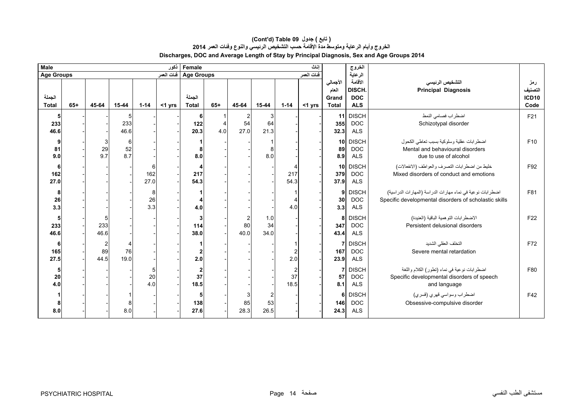| <b>Male</b>            |       | Female<br>اناث               |                |                  |            |                              |       |                              | الخروج                       |                              |            |                                            |                                               |                                                                                                                     |                                             |
|------------------------|-------|------------------------------|----------------|------------------|------------|------------------------------|-------|------------------------------|------------------------------|------------------------------|------------|--------------------------------------------|-----------------------------------------------|---------------------------------------------------------------------------------------------------------------------|---------------------------------------------|
| <b>Age Groups</b>      |       |                              |                |                  | ففات العمر | <b>Age Groups</b>            |       |                              |                              |                              | فنات العمر |                                            | الرعاية                                       |                                                                                                                     |                                             |
| الجملة<br><b>Total</b> | $65+$ | 45-64                        | 15-44          | $1 - 14$         | $<$ 1 yrs  | الجملة<br><b>Total</b>       | $65+$ | 45-64                        | 15-44                        | $1 - 14$                     | <1 yrs     | الأجمالي<br>العام<br>Grand<br><b>Total</b> | الأقامة<br>DISCH.<br><b>DOC</b><br><b>ALS</b> | التشخيص الرئيسى<br><b>Principal Diagnosis</b>                                                                       | رمز<br>التصنيف<br>ICD <sub>10</sub><br>Code |
| 5<br>233<br>46.6       |       |                              | 233<br>46.6    |                  |            | 6<br>122<br>20.3             | 4.0   | $\overline{2}$<br>54<br>27.0 | -3<br>64<br>21.3             |                              |            | 11<br>355<br>32.3                          | <b>DISCH</b><br><b>DOC</b><br><b>ALS</b>      | اضطراب فصامى النمط<br>Schizotypal disorder                                                                          | F21                                         |
| 9<br>81<br>9.0         |       | 3<br>29<br>9.7               | 6<br>52<br>8.7 |                  |            | 8<br>8.0                     |       |                              | 8<br>8.0                     |                              |            | 10<br>89<br>8.9                            | <b>DISCH</b><br><b>DOC</b><br><b>ALS</b>      | اضطرابات عقلية وسلوكية بسبب تعاطى الكحول<br>Mental and behavioural disorders<br>due to use of alcohol               | F10                                         |
| 6<br>162<br>27.0       |       |                              |                | 6<br>162<br>27.0 |            | 4<br>217<br>54.3             |       |                              |                              | 217<br>54.3                  |            | 10<br>379<br>37.9                          | <b>DISCH</b><br><b>DOC</b><br><b>ALS</b>      | خليط من اضطرابات التصرف والعواطف (الانفعالات)<br>Mixed disorders of conduct and emotions                            | F92                                         |
| 8<br>26<br>3.3         |       |                              |                | 8<br>26<br>3.3   |            | 4<br>4.0                     |       |                              |                              | 4<br>4.0                     |            | 9<br>30<br>3.3                             | <b>DISCH</b><br>DOC<br><b>ALS</b>             | اضطر ابات نوعية في نماء مهارات الدراسة (المهارات الدراسية)<br>Specific developmental disorders of scholastic skills | F81                                         |
| 5<br>233<br>46.6       |       | 233<br>46.6                  |                |                  |            | 3<br>114<br>38.0             |       | $\overline{2}$<br>80<br>40.0 | 1.0<br>34<br>34.0            |                              |            | 8<br>347<br>43.4                           | <b>DISCH</b><br><b>DOC</b><br><b>ALS</b>      | الاضطرابات التوهمية الباقية (العنيدة)<br>Persistent delusional disorders                                            | F <sub>22</sub>                             |
| 6<br>165<br>27.5       |       | $\overline{a}$<br>89<br>44.5 | 76<br>19.0     |                  |            | 2.0                          |       |                              |                              | 2.0                          |            | 167<br>23.9                                | <b>DISCH</b><br><b>DOC</b><br><b>ALS</b>      | التخلف العقلى الشديد<br>Severe mental retardation                                                                   | F72                                         |
| 5<br>${\bf 20}$<br>4.0 |       |                              |                | 20<br>4.0        |            | $\overline{2}$<br>37<br>18.5 |       |                              |                              | $\overline{2}$<br>37<br>18.5 |            | 57<br>8.1                                  | <b>DISCH</b><br><b>DOC</b><br><b>ALS</b>      | اضطر ابات نوعية في نماء (تطور) الكلام واللغة<br>Specific developmental disorders of speech<br>and language          | F80                                         |
| 8.0                    |       |                              | 8<br>8.0       |                  |            | 5<br>138<br>27.6             |       | З<br>85<br>28.3              | $\overline{2}$<br>53<br>26.5 |                              |            | 6<br>146<br>24.3                           | <b>DISCH</b><br><b>DOC</b><br><b>ALS</b>      | اضطراب وسواسي قهري (قسري)<br>Obsessive-compulsive disorder                                                          | F42                                         |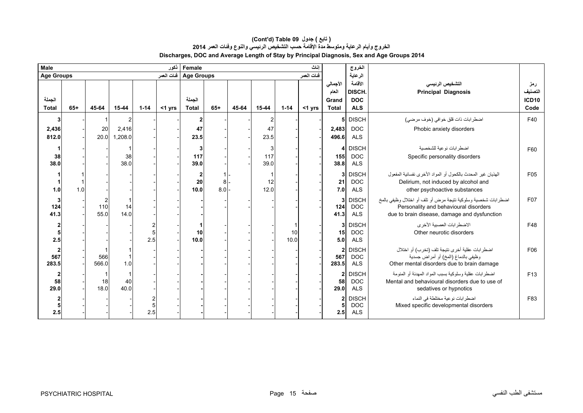| Male                   |       |              |                  |          | ذكور       | Female<br>اناث                 |                   |       |                  |            |             |                                            | الخروج                                        |                                                                                                                                                        |                                        |
|------------------------|-------|--------------|------------------|----------|------------|--------------------------------|-------------------|-------|------------------|------------|-------------|--------------------------------------------|-----------------------------------------------|--------------------------------------------------------------------------------------------------------------------------------------------------------|----------------------------------------|
| <b>Age Groups</b>      |       |              |                  |          | فنات العمر |                                | <b>Age Groups</b> |       |                  |            | فَنات العمر |                                            | الرعاية                                       |                                                                                                                                                        |                                        |
| الجملة<br><b>Total</b> | $65+$ | 45-64        | 15-44            | $1 - 14$ | $<$ 1 yrs  | الجملة<br><b>Total</b>         | $65+$             | 45-64 | 15-44            | $1 - 14$   | $<$ 1 yrs   | الأجمالي<br>العام<br>Grand<br><b>Total</b> | الأقامة<br>DISCH.<br><b>DOC</b><br><b>ALS</b> | التشخيص الرئيسى<br><b>Principal Diagnosis</b>                                                                                                          | رمز<br>التصنيف<br><b>ICD10</b><br>Code |
| 3                      |       |              |                  |          |            | $\mathbf{2}$                   |                   |       | $\overline{2}$   |            |             |                                            | 5 DISCH                                       | اضطرابات ذات قلق خوافي (خوف مرضى)                                                                                                                      | F40                                    |
| 2,436<br>812.0         |       | 20<br>20.0   | 2,416<br>1,208.0 |          |            | 47<br>23.5                     |                   |       | 47<br>23.5       |            |             | 2,483<br>496.6                             | <b>DOC</b><br><b>ALS</b>                      | Phobic anxiety disorders                                                                                                                               |                                        |
| 38<br>38.0             |       |              | 38<br>38.0       |          |            | 3<br>117<br>39.0               |                   |       | 3<br>117<br>39.0 |            |             | $\overline{4}$<br>155<br>38.8              | <b>DISCH</b><br><b>DOC</b><br><b>ALS</b>      | اضطرابات نوعية للشخصية<br>Specific personality disorders                                                                                               | F60                                    |
| 1.0                    | 1.0   |              |                  |          |            | $\boldsymbol{2}$<br>20<br>10.0 | 8<br>8.0          |       | -1<br>12<br>12.0 |            |             | 3<br>21<br>7.0                             | <b>DISCH</b><br><b>DOC</b><br><b>ALS</b>      | الهذيان غير المحدث بالكحول أو المواد الأخرى نفسانية المفعول<br>Delirium, not induced by alcohol and<br>other psychoactive substances                   | F <sub>05</sub>                        |
| 3<br>124<br>41.3       |       | 110<br>55.0  | 14<br>14.0       |          |            |                                |                   |       |                  |            |             | 3<br>124<br>41.3                           | <b>DISCH</b><br><b>DOC</b><br><b>ALS</b>      | اضطرابات شخصية وسلوكية نتيجة مرض أو تلف أو اختلال وظيفي بالمخ<br>Personality and behavioural disorders<br>due to brain disease, damage and dysfunction | F07                                    |
| 2.5                    |       |              |                  | 2.5      |            | 10<br>10.0                     |                   |       |                  | 10<br>10.0 |             | 15<br>5.0                                  | 3 DISCH<br><b>DOC</b><br><b>ALS</b>           | الاضطر ابات العصيبة الأخر ي<br>Other neurotic disorders                                                                                                | F48                                    |
| 567<br>283.5           |       | 566<br>566.0 | 1.0              |          |            |                                |                   |       |                  |            |             | $\overline{2}$<br>567<br>283.5             | <b>DISCH</b><br><b>DOC</b><br><b>ALS</b>      | اضطرابات عقلية أخرى نتيجة تلف (تخرب) أو اختلال<br>وظيفي بالدماغ (المخ) أو أمراض جسدية<br>Other mental disorders due to brain damage                    | F06                                    |
| 2<br>58<br>29.0        |       | 18<br>18.0   | 40<br>40.0       |          |            |                                |                   |       |                  |            |             | 58<br>29.0                                 | 2 DISCH<br><b>DOC</b><br><b>ALS</b>           | اضطرابات عقلية وسلوكية بسبب المواد المهدئة أو المنومة<br>Mental and behavioural disorders due to use of<br>sedatives or hypnotics                      | F <sub>13</sub>                        |
| 2.5                    |       |              |                  | 2.5      |            |                                |                   |       |                  |            |             | $\overline{2}$<br>2.5                      | <b>DISCH</b><br><b>DOC</b><br><b>ALS</b>      | اضطرابات نوعية مختلطة في النماء<br>Mixed specific developmental disorders                                                                              | F83                                    |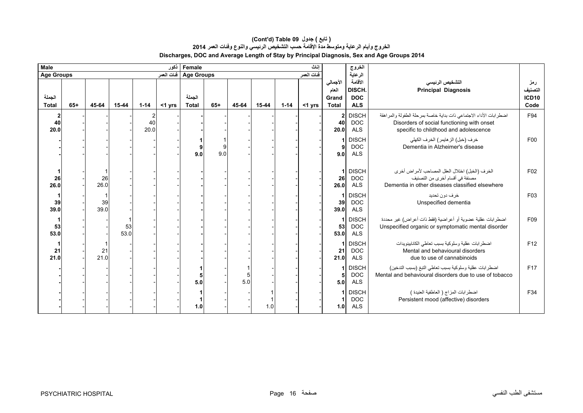| Male<br>نكور               |       |            |            |            |           |                          | Female<br>اناث |       |       |          |            |                                            |                                               |                                                                                                                                                          |                                        |
|----------------------------|-------|------------|------------|------------|-----------|--------------------------|----------------|-------|-------|----------|------------|--------------------------------------------|-----------------------------------------------|----------------------------------------------------------------------------------------------------------------------------------------------------------|----------------------------------------|
| <b>Age Groups</b>          |       |            |            |            |           | Age Groups   فَنات العمر |                |       |       |          | فنات العمر |                                            | الخروج<br>الرعاية                             |                                                                                                                                                          |                                        |
| الجملة<br><b>Total</b>     | $65+$ | 45-64      | 15-44      | $1 - 14$   | $<$ 1 yrs | الجملة<br><b>Total</b>   | $65+$          | 45-64 | 15-44 | $1 - 14$ | $<$ 1 yrs  | الأجمالي<br>العام<br>Grand<br><b>Total</b> | الأقامة<br>DISCH.<br><b>DOC</b><br><b>ALS</b> | التشخيص الرئيسى<br><b>Principal Diagnosis</b>                                                                                                            | رمز<br>التصنيف<br><b>ICD10</b><br>Code |
| $\mathbf{2}$<br>40<br>20.0 |       |            |            | 40<br>20.0 |           |                          |                |       |       |          |            | 40<br>20.0                                 | 2 DISCH<br><b>DOC</b><br><b>ALS</b>           | اضطرابات الأداء الاجتماعي ذات بداية خاصة بمرحلة الطفولة والمراهقة<br>Disorders of social functioning with onset<br>specific to childhood and adolescence | F94                                    |
|                            |       |            |            |            |           | 9.0                      | 9<br>9.0       |       |       |          |            | 9.0                                        | <b>DISCH</b><br><b>DOC</b><br><b>ALS</b>      | خرف (خبل) الز هايمر ) الخرف الكهلي<br>Dementia in Alzheimer's disease                                                                                    | F00                                    |
| 26<br>26.0                 |       | 26<br>26.0 |            |            |           |                          |                |       |       |          |            | 1<br>26<br>26.0                            | <b>DISCH</b><br><b>DOC</b><br><b>ALS</b>      | الخرف (الخبل) اختلال العقل المصاحب لأمراض أخرى<br>مصنفة في أقسام أخرى من التصنيف<br>Dementia in other diseases classified elsewhere                      | F <sub>02</sub>                        |
| 39<br>39.0                 |       | 39<br>39.0 |            |            |           |                          |                |       |       |          |            | 1<br>39<br>39.0                            | <b>DISCH</b><br><b>DOC</b><br><b>ALS</b>      | خرف دون تحديد<br>Unspecified dementia                                                                                                                    | F03                                    |
| 53<br>53.0                 |       |            | 53<br>53.0 |            |           |                          |                |       |       |          |            | 53<br>53.0                                 | <b>DISCH</b><br><b>DOC</b><br><b>ALS</b>      | اضطرابات عقلية عضوية أو أعراضية (فقط ذات أعراض) غير محددة<br>Unspecified organic or symptomatic mental disorder                                          | F09                                    |
| 21<br>21.0                 |       | 21<br>21.0 |            |            |           |                          |                |       |       |          |            | 21<br>21.0                                 | <b>DISCH</b><br><b>DOC</b><br><b>ALS</b>      | اضطر ابات عقلية وسلوكية بسبب تعاطى الكانابينويدات<br>Mental and behavioural disorders<br>due to use of cannabinoids                                      | F12                                    |
|                            |       |            |            |            |           | 5.0                      |                | 5.0   |       |          |            | 5.0                                        | <b>DISCH</b><br><b>DOC</b><br><b>ALS</b>      | اضطر ابات عقلية وسلوكية بسبب تعاطى التبغ (بسبب التدخين)<br>Mental and behavioural disorders due to use of tobacco                                        | F17                                    |
|                            |       |            |            |            |           | 1.0                      |                |       | 1.0   |          |            | 1.0                                        | <b>DISCH</b><br><b>DOC</b><br><b>ALS</b>      | اضطرابات المزاج ( العاطفية العنيدة )<br>Persistent mood (affective) disorders                                                                            | F34                                    |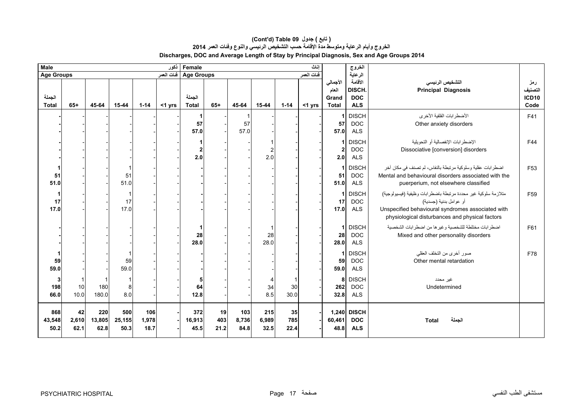| Male<br>ذكور<br>Female |                            |                       |                       |                      |           |                        |                                        |                      | إناث                  |                   | الخروج    |                                            |                                               |                                                                                                                                                                                                  |                                 |
|------------------------|----------------------------|-----------------------|-----------------------|----------------------|-----------|------------------------|----------------------------------------|----------------------|-----------------------|-------------------|-----------|--------------------------------------------|-----------------------------------------------|--------------------------------------------------------------------------------------------------------------------------------------------------------------------------------------------------|---------------------------------|
| <b>Age Groups</b>      |                            |                       |                       |                      |           |                        | فنات العمر<br>Age Groups فَنَاتَ العمر |                      |                       |                   |           |                                            |                                               |                                                                                                                                                                                                  |                                 |
| الجملة<br><b>Total</b> | $65+$                      | 45-64                 | $15 - 44$             | $1 - 14$             | $<$ 1 yrs | الجملة<br><b>Total</b> | $65+$                                  | 45-64                | 15-44                 | $1 - 14$          | $<$ 1 yrs | الأجمالي<br>العام<br>Grand<br><b>Total</b> | الأقامة<br>DISCH.<br><b>DOC</b><br><b>ALS</b> | التشخيص الرئيسى<br><b>Principal Diagnosis</b>                                                                                                                                                    | رمز<br>التصنيف<br>ICD10<br>Code |
|                        |                            |                       |                       |                      |           | -1<br>57<br>57.0       |                                        | -1<br>57<br>57.0     |                       |                   |           | 57<br>57.0                                 | <b>DISCH</b><br><b>DOC</b><br><b>ALS</b>      | الأضطر ابات القلقية الأخرى<br>Other anxiety disorders                                                                                                                                            | F41                             |
|                        |                            |                       |                       |                      |           | 1<br>2<br>2.0          |                                        |                      | $\overline{2}$<br>2.0 |                   |           | 2<br>2.0                                   | <b>DISCH</b><br><b>DOC</b><br><b>ALS</b>      | الإضطر ابات الإنفصالية أو التحويلية<br>Dissociative [conversion] disorders                                                                                                                       | F44                             |
| 51<br>51.0             |                            |                       | 51<br>51.0            |                      |           |                        |                                        |                      |                       |                   |           | 51<br>51.0                                 | <b>DISCH</b><br><b>DOC</b><br><b>ALS</b>      | اضطرابات عقلية وسلوكية مرتبطة بالنفاس، لم تصنف في مكان أخر<br>Mental and behavioural disorders associated with the<br>puerperium, not elsewhere classified                                       | F <sub>53</sub>                 |
| 17<br>17.0             |                            |                       | 17<br>17.0            |                      |           |                        |                                        |                      |                       |                   |           | 17<br>17.0                                 | <b>DISCH</b><br><b>DOC</b><br><b>ALS</b>      | متلازمة سلوكية غير محددة مرتبطة باضطرابات وظيفية (فيسيولوجية)<br>أو عو امل بدنية (جسدية)<br>Unspecified behavioural syndromes associated with<br>physiological disturbances and physical factors | F <sub>59</sub>                 |
|                        |                            |                       |                       |                      |           | 1<br>28<br>28.0        |                                        |                      | -1<br>28<br>28.0      |                   |           | -1<br>28<br>28.0                           | <b>DISCH</b><br><b>DOC</b><br><b>ALS</b>      | اضطرابات مختلطة للشخصية وغيرها من اضطرابات الشخصية<br>Mixed and other personality disorders                                                                                                      | F61                             |
| 59<br>59.0             |                            |                       | 59<br>59.0            |                      |           |                        |                                        |                      |                       |                   |           | 59<br>59.0                                 | <b>DISCH</b><br><b>DOC</b><br><b>ALS</b>      | صور أخرى من التخلف العقلي<br>Other mental retardation                                                                                                                                            | F78                             |
| 3<br>198<br>66.0       | $\mathbf{1}$<br>10<br>10.0 | 180<br>180.0          | 8<br>8.0              |                      |           | 5<br>64<br>12.8        |                                        |                      | 4<br>34<br>8.5        | 30<br>30.0        |           | 8<br>262<br>32.8                           | <b>DISCH</b><br><b>DOC</b><br><b>ALS</b>      | غير محدد<br>Undetermined                                                                                                                                                                         |                                 |
| 868<br>43,548<br>50.2  | 42<br>2,610<br>62.1        | 220<br>13,805<br>62.8 | 500<br>25,155<br>50.3 | 106<br>1,978<br>18.7 |           | 372<br>16,913<br>45.5  | 19<br>403<br>21.2                      | 103<br>8,736<br>84.8 | 215<br>6,989<br>32.5  | 35<br>785<br>22.4 |           | 60,461<br>48.8                             | 1,240 DISCH<br><b>DOC</b><br><b>ALS</b>       | الجملة<br><b>Total</b>                                                                                                                                                                           |                                 |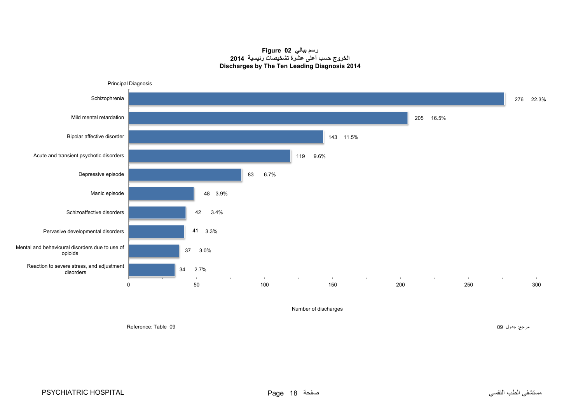#### **رسم بياني 02 Figure الخروج حسب أعلى عشرة تشخيصات رئيسية <sup>2014</sup> Discharges by The Ten Leading Diagnosis 2014**

<span id="page-16-0"></span>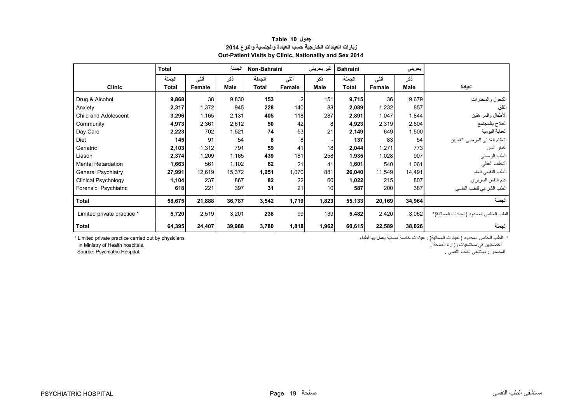<span id="page-17-0"></span>

|                            | <b>Total</b> |        | الجملة      | Non-Bahraini |                | غیر بحرینی | <b>Bahraini</b> |               | بحريني |                                         |
|----------------------------|--------------|--------|-------------|--------------|----------------|------------|-----------------|---------------|--------|-----------------------------------------|
|                            | الجملة       | أنشى   | ذكر         | الجملة       | أنشى           | ذكر        | الجملة          | أننى          | ذكر    |                                         |
| <b>Clinic</b>              | Total        | Female | <b>Male</b> | Total        | Female         | Male       | Total           | <b>Female</b> | Male   | العيادة                                 |
| Drug & Alcohol             | 9,868        | 38     | 9,830       | 153          | $\overline{2}$ | 151        | 9,715           | 36            | 9,679  | الكحول والمخدرات                        |
| Anxiety                    | 2,317        | 1,372  | 945         | 228          | 140            | 88         | 2,089           | 1,232         | 857    | القلق                                   |
| Child and Adolescent       | 3,296        | 1,165  | 2,131       | 405          | 118            | 287        | 2,891           | 1,047         | 1,844  | الأطفال والمراهقين                      |
| Community                  | 4,973        | 2,361  | 2,612       | 50           | 42             | 8          | 4,923           | 2,319         | 2,604  | العلاج بالمجتمع                         |
| Day Care                   | 2,223        | 702    | 1,521       | 74           | 53             | 21         | 2,149           | 649           | 1,500  | العناية اليومية                         |
| Diet                       | 145          | 91     | 54          | 8            | 8              |            | 137             | 83            | 54     | النظام الغذائي للمرضىي النفسيين         |
| Geriatric                  | 2,103        | 1,312  | 791         | 59           | 41             | 18         | 2,044           | 1,271         | 773    | كبار السن                               |
| Liason                     | 2,374        | 1,209  | 1,165       | 439          | 181            | 258        | 1,935           | 1,028         | 907    | الطب الوصلي                             |
| <b>Mental Retardation</b>  | 1,663        | 561    | 1,102       | 62           | 21             | 41         | 1,601           | 540           | 1,061  | التخلف العقلي                           |
| <b>General Psychiatry</b>  | 27,991       | 12,619 | 15,372      | 1,951        | 1,070          | 881        | 26,040          | 11,549        | 14,491 | الطب النفسي العام                       |
| <b>Clinical Psychology</b> | 1,104        | 237    | 867         | 82           | 22             | 60         | 1,022           | 215           | 807    | علم النفس السريري                       |
| Forensic Psychiatric       | 618          | 221    | 397         | 31           | 21             | 10         | 587             | 200           | 387    | الطب الشرعي للطب النفسي                 |
| <b>Total</b>               | 58,675       | 21,888 | 36,787      | 3,542        | 1,719          | 1,823      | 55,133          | 20,169        | 34,964 | الجملة                                  |
| Limited private practice * | 5,720        | 2,519  | 3,201       | 238          | 99             | 139        | 5,482           | 2,420         | 3,062  | الطب الخاص المحدود (العيادات المسائية)* |
| <b>Total</b>               | 64,395       | 24,407 | 39,988      | 3,780        | 1,818          | 1,962      | 60,615          | 22,589        | 38,026 | الجملة                                  |

## **جدول 10 Table زيارات العيادات الخارجية حسب العيادة والجنسية والنوع <sup>2014</sup> Out-Patient Visits by Clinic, Nationality and Sex 2014**

أخصائيين في مستشفيات وزارة الصحة . .hospitals Health of Ministry in

المصدر : مستشفى الطب النفسي . .Hospital Psychiatric :Source

\* الطب الخاص المحدود (العيادات المسائية) : عيادات خاصة مسائية يعمل بھا أطباء physicians by out carried practice private Limited\*